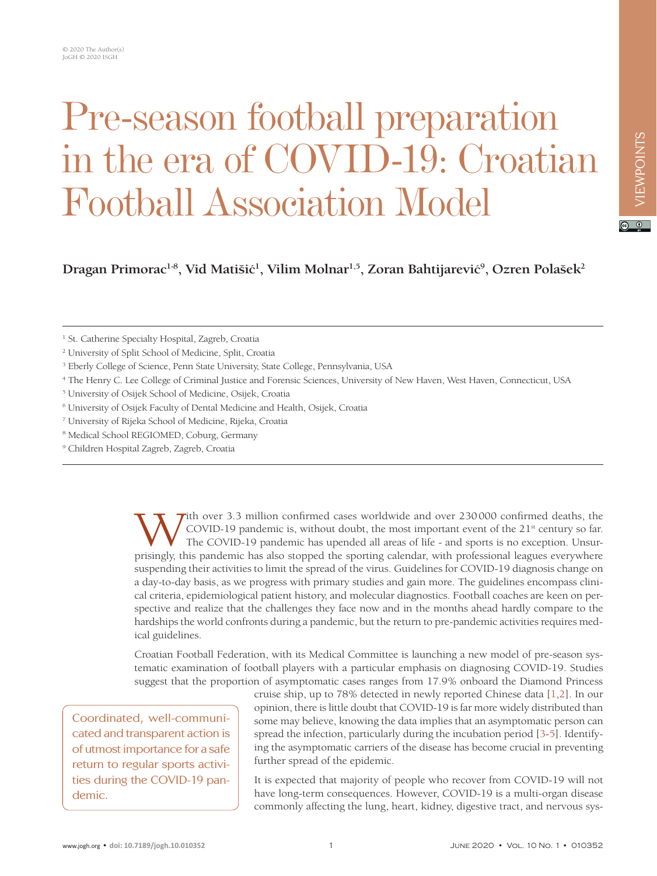## Pre-season football preparation in the era of COVID-19: Croatian Football Association Model

**Dragan Primorac1-8, Vid Matiši**ć**<sup>1</sup> , Vilim Molnar1,5, Zoran Bahtijarevi**ć**<sup>9</sup> , Ozren Polašek2**

<sup>1</sup> St. Catherine Specialty Hospital, Zagreb, Croatia

2 University of Split School of Medicine, Split, Croatia

<sup>3</sup> Eberly College of Science, Penn State University, State College, Pennsylvania, USA

- 4 The Henry C. Lee College of Criminal Justice and Forensic Sciences, University of New Haven, West Haven, Connecticut, USA
- 5 University of Osijek School of Medicine, Osijek, Croatia
- <sup>6</sup> University of Osijek Faculty of Dental Medicine and Health, Osijek, Croatia
- 7 University of Rijeka School of Medicine, Rijeka, Croatia
- 8 Medical School REGIOMED, Coburg, Germany
- 9 Children Hospital Zagreb, Zagreb, Croatia

 $\tau$ ith over 3.3 million confirmed cases worldwide and over 230000 confirmed deaths, the COVID-19 pandemic is, without doubt, the most important event of the  $21<sup>st</sup>$  century so far. The COVID-19 pandemic has upended all areas of life - and sports is no exception. Unsurprisingly, this pandemic has also stopped the sporting calendar, with professional leagues everywhere suspending their activities to limit the spread of the virus. Guidelines for COVID-19 diagnosis change on a day-to-day basis, as we progress with primary studies and gain more. The guidelines encompass clinical criteria, epidemiological patient history, and molecular diagnostics. Football coaches are keen on perspective and realize that the challenges they face now and in the months ahead hardly compare to the hardships the world confronts during a pandemic, but the return to pre-pandemic activities requires medical guidelines.

Croatian Football Federation, with its Medical Committee is launching a new model of pre-season systematic examination of football players with a particular emphasis on diagnosing COVID-19. Studies suggest that the proportion of asymptomatic cases ranges from 17.9% onboard the Diamond Princess

Coordinated, well-communicated and transparent action is of utmost importance for a safe return to regular sports activities during the COVID-19 pandemic.

cruise ship, up to 78% detected in newly reported Chinese data [[1](#page-3-0)[,2](#page-3-1)]. In our opinion, there is little doubt that COVID-19 is far more widely distributed than some may believe, knowing the data implies that an asymptomatic person can spread the infection, particularly during the incubation period [[3-](#page-3-2)[5](#page-3-3)]. Identifying the asymptomatic carriers of the disease has become crucial in preventing further spread of the epidemic.

It is expected that majority of people who recover from COVID-19 will not have long-term consequences. However, COVID-19 is a multi-organ disease commonly affecting the lung, heart, kidney, digestive tract, and nervous sys $\boxed{6}$   $\boxed{0}$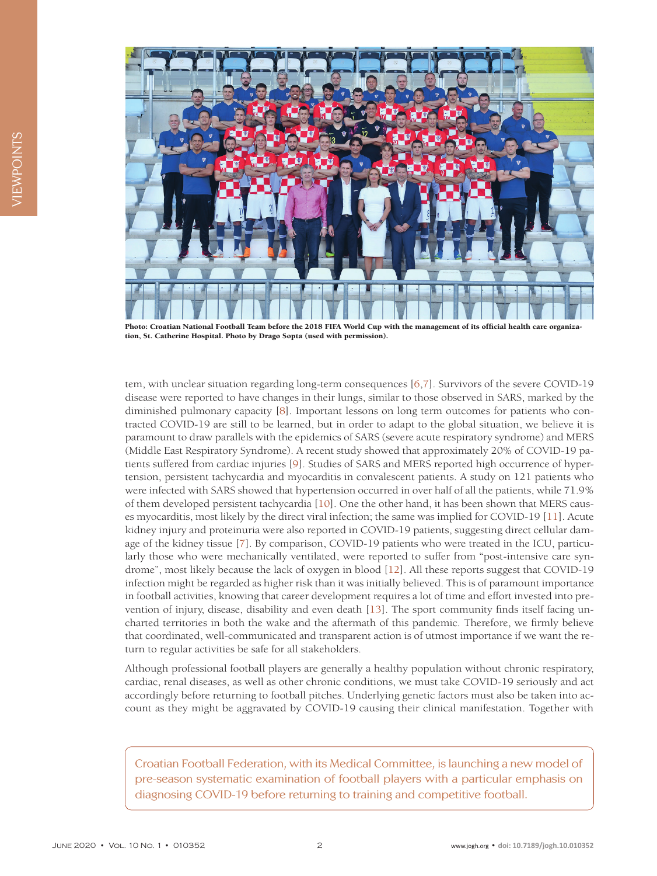

Photo: Croatian National Football Team before the 2018 FIFA World Cup with the management of its official health care organization, St. Catherine Hospital. Photo by Drago Sopta (used with permission).

tem, with unclear situation regarding long-term consequences [[6](#page-3-4)[,7\]](#page-3-5). Survivors of the severe COVID-19 disease were reported to have changes in their lungs, similar to those observed in SARS, marked by the diminished pulmonary capacity [\[8\]](#page-3-6). Important lessons on long term outcomes for patients who contracted COVID-19 are still to be learned, but in order to adapt to the global situation, we believe it is paramount to draw parallels with the epidemics of SARS (severe acute respiratory syndrome) and MERS (Middle East Respiratory Syndrome). A recent study showed that approximately 20% of COVID-19 patients suffered from cardiac injuries [[9](#page-3-7)]. Studies of SARS and MERS reported high occurrence of hypertension, persistent tachycardia and myocarditis in convalescent patients. A study on 121 patients who were infected with SARS showed that hypertension occurred in over half of all the patients, while 71.9% of them developed persistent tachycardia [\[10](#page-3-8)]. One the other hand, it has been shown that MERS causes myocarditis, most likely by the direct viral infection; the same was implied for COVID-19 [[11](#page-3-9)]. Acute kidney injury and proteinuria were also reported in COVID-19 patients, suggesting direct cellular damage of the kidney tissue [\[7](#page-3-5)]. By comparison, COVID-19 patients who were treated in the ICU, particularly those who were mechanically ventilated, were reported to suffer from "post-intensive care syndrome", most likely because the lack of oxygen in blood [[12\]](#page-3-10). All these reports suggest that COVID-19 infection might be regarded as higher risk than it was initially believed. This is of paramount importance in football activities, knowing that career development requires a lot of time and effort invested into prevention of injury, disease, disability and even death [[13](#page-3-11)]. The sport community finds itself facing uncharted territories in both the wake and the aftermath of this pandemic. Therefore, we firmly believe that coordinated, well-communicated and transparent action is of utmost importance if we want the return to regular activities be safe for all stakeholders.

Although professional football players are generally a healthy population without chronic respiratory, cardiac, renal diseases, as well as other chronic conditions, we must take COVID-19 seriously and act accordingly before returning to football pitches. Underlying genetic factors must also be taken into account as they might be aggravated by COVID-19 causing their clinical manifestation. Together with

Croatian Football Federation, with its Medical Committee, is launching a new model of pre-season systematic examination of football players with a particular emphasis on diagnosing COVID-19 before returning to training and competitive football.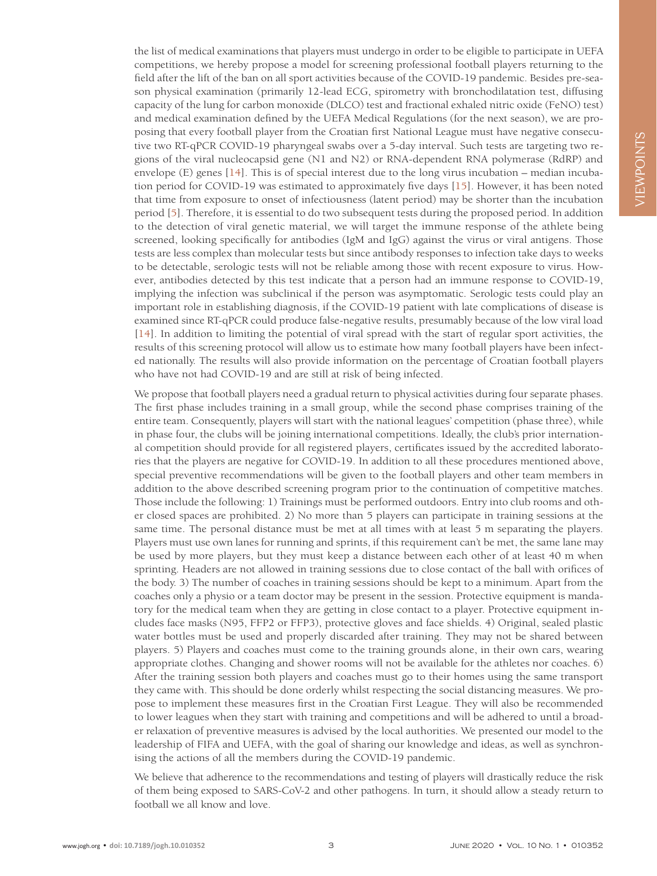the list of medical examinations that players must undergo in order to be eligible to participate in UEFA competitions, we hereby propose a model for screening professional football players returning to the field after the lift of the ban on all sport activities because of the COVID-19 pandemic. Besides pre-season physical examination (primarily 12-lead ECG, spirometry with bronchodilatation test, diffusing capacity of the lung for carbon monoxide (DLCO) test and fractional exhaled nitric oxide (FeNO) test) and medical examination defined by the UEFA Medical Regulations (for the next season), we are proposing that every football player from the Croatian first National League must have negative consecutive two RT-qPCR COVID-19 pharyngeal swabs over a 5-day interval. Such tests are targeting two regions of the viral nucleocapsid gene (N1 and N2) or RNA-dependent RNA polymerase (RdRP) and envelope (E) genes [[14](#page-3-12)]. This is of special interest due to the long virus incubation – median incubation period for COVID-19 was estimated to approximately five days [[15](#page-3-13)]. However, it has been noted that time from exposure to onset of infectiousness (latent period) may be shorter than the incubation period [[5](#page-3-3)]. Therefore, it is essential to do two subsequent tests during the proposed period. In addition to the detection of viral genetic material, we will target the immune response of the athlete being screened, looking specifically for antibodies (IgM and IgG) against the virus or viral antigens. Those tests are less complex than molecular tests but since antibody responses to infection take days to weeks to be detectable, serologic tests will not be reliable among those with recent exposure to virus. However, antibodies detected by this test indicate that a person had an immune response to COVID-19, implying the infection was subclinical if the person was asymptomatic. Serologic tests could play an important role in establishing diagnosis, if the COVID-19 patient with late complications of disease is examined since RT-qPCR could produce false-negative results, presumably because of the low viral load [[14](#page-3-12)]. In addition to limiting the potential of viral spread with the start of regular sport activities, the results of this screening protocol will allow us to estimate how many football players have been infected nationally. The results will also provide information on the percentage of Croatian football players who have not had COVID-19 and are still at risk of being infected.

We propose that football players need a gradual return to physical activities during four separate phases. The first phase includes training in a small group, while the second phase comprises training of the entire team. Consequently, players will start with the national leagues' competition (phase three), while in phase four, the clubs will be joining international competitions. Ideally, the club's prior international competition should provide for all registered players, certificates issued by the accredited laboratories that the players are negative for COVID-19. In addition to all these procedures mentioned above, special preventive recommendations will be given to the football players and other team members in addition to the above described screening program prior to the continuation of competitive matches. Those include the following: 1) Trainings must be performed outdoors. Entry into club rooms and other closed spaces are prohibited. 2) No more than 5 players can participate in training sessions at the same time. The personal distance must be met at all times with at least 5 m separating the players. Players must use own lanes for running and sprints, if this requirement can't be met, the same lane may be used by more players, but they must keep a distance between each other of at least 40 m when sprinting. Headers are not allowed in training sessions due to close contact of the ball with orifices of the body. 3) The number of coaches in training sessions should be kept to a minimum. Apart from the coaches only a physio or a team doctor may be present in the session. Protective equipment is mandatory for the medical team when they are getting in close contact to a player. Protective equipment includes face masks (N95, FFP2 or FFP3), protective gloves and face shields. 4) Original, sealed plastic water bottles must be used and properly discarded after training. They may not be shared between players. 5) Players and coaches must come to the training grounds alone, in their own cars, wearing appropriate clothes. Changing and shower rooms will not be available for the athletes nor coaches. 6) After the training session both players and coaches must go to their homes using the same transport they came with. This should be done orderly whilst respecting the social distancing measures. We propose to implement these measures first in the Croatian First League. They will also be recommended to lower leagues when they start with training and competitions and will be adhered to until a broader relaxation of preventive measures is advised by the local authorities. We presented our model to the leadership of FIFA and UEFA, with the goal of sharing our knowledge and ideas, as well as synchronising the actions of all the members during the COVID-19 pandemic.

We believe that adherence to the recommendations and testing of players will drastically reduce the risk of them being exposed to SARS-CoV-2 and other pathogens. In turn, it should allow a steady return to football we all know and love.